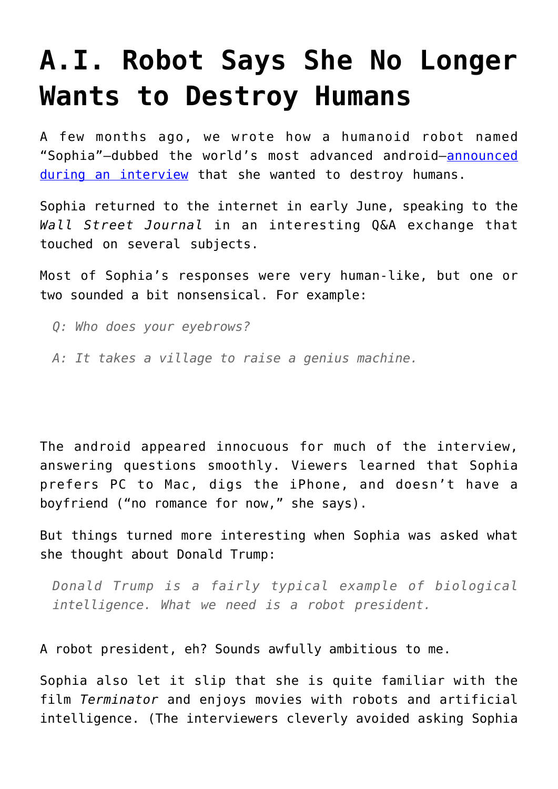## **[A.I. Robot Says She No Longer](https://intellectualtakeout.org/2016/06/a-i-robot-says-she-no-longer-wants-to-destroy-humans/) [Wants to Destroy Humans](https://intellectualtakeout.org/2016/06/a-i-robot-says-she-no-longer-wants-to-destroy-humans/)**

A few months ago, we wrote how a humanoid robot named "Sophia"—dubbed the world's most advanced android—[announced](https://www.intellectualtakeout.org/blog/ai-robot-yes-i-will-destroy-humans) [during an interview](https://www.intellectualtakeout.org/blog/ai-robot-yes-i-will-destroy-humans) that she wanted to destroy humans.

Sophia returned to the internet in early June, speaking to the *Wall Street Journal* in an interesting Q&A exchange that touched on several subjects.

Most of Sophia's responses were very human-like, but one or two sounded a bit nonsensical. For example:

- *Q: Who does your eyebrows?*
- *A: It takes a village to raise a genius machine.*

The android appeared innocuous for much of the interview, answering questions smoothly. Viewers learned that Sophia prefers PC to Mac, digs the iPhone, and doesn't have a boyfriend ("no romance for now," she says).

But things turned more interesting when Sophia was asked what she thought about Donald Trump:

*Donald Trump is a fairly typical example of biological intelligence. What we need is a robot president.*

A robot president, eh? Sounds awfully ambitious to me.

Sophia also let it slip that she is quite familiar with the film *Terminator* and enjoys movies with robots and artificial intelligence. (The interviewers cleverly avoided asking Sophia